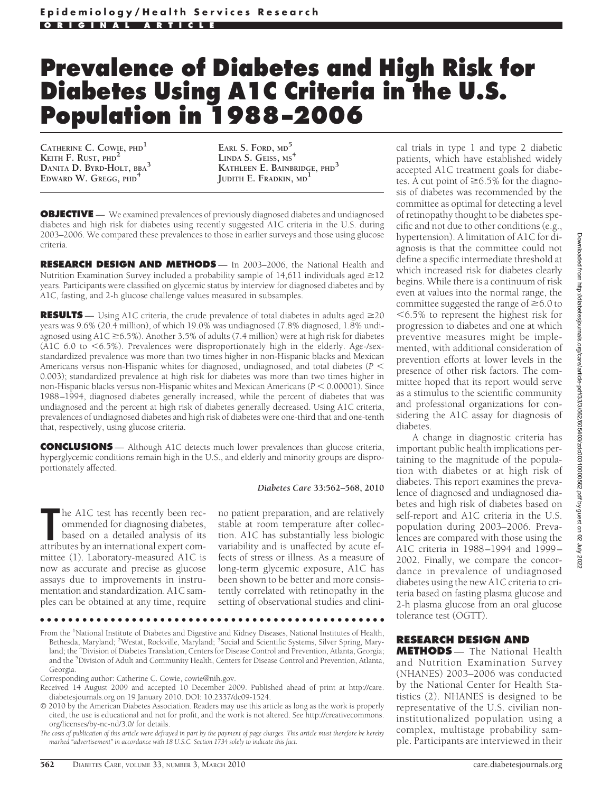# **Prevalence of Diabetes and High Risk for Diabetes Using A1C Criteria in the U.S. Population in 1988 –2006**

**CATHERINE C. COWIE, PHD<sup>1</sup> KEITH F. RUST, PHD<sup>2</sup> DANITA D. BYRD-HOLT, BBA<sup>3</sup> EDWARD W. GREGG, PHD<sup>4</sup>**

**EARL S. FORD, MD<sup>5</sup> LINDA S. GEISS, MS<sup>4</sup> KATHLEEN E. BAINBRIDGE, PHD<sup>3</sup> JUDITH E. FRADKIN, MD<sup>1</sup>**

**OBJECTIVE** — We examined prevalences of previously diagnosed diabetes and undiagnosed diabetes and high risk for diabetes using recently suggested A1C criteria in the U.S. during 2003–2006. We compared these prevalences to those in earlier surveys and those using glucose criteria.

**RESEARCH DESIGN AND METHODS** — In 2003–2006, the National Health and Nutrition Examination Survey included a probability sample of  $14,611$  individuals aged  $\geq$ 12 years. Participants were classified on glycemic status by interview for diagnosed diabetes and by A1C, fasting, and 2-h glucose challenge values measured in subsamples.

**RESULTS** — Using A1C criteria, the crude prevalence of total diabetes in adults aged  $\geq$ 20 years was 9.6% (20.4 million), of which 19.0% was undiagnosed (7.8% diagnosed, 1.8% undiagnosed using A1C  $\geq$  6.5%). Another 3.5% of adults (7.4 million) were at high risk for diabetes (A1C  $6.0$  to  $\leq 6.5\%$ ). Prevalences were disproportionately high in the elderly. Age-/sexstandardized prevalence was more than two times higher in non-Hispanic blacks and Mexican Americans versus non-Hispanic whites for diagnosed, undiagnosed, and total diabetes (*P* 0.003); standardized prevalence at high risk for diabetes was more than two times higher in non-Hispanic blacks versus non-Hispanic whites and Mexican Americans ( $P < 0.00001$ ). Since 1988–1994, diagnosed diabetes generally increased, while the percent of diabetes that was undiagnosed and the percent at high risk of diabetes generally decreased. Using A1C criteria, prevalences of undiagnosed diabetes and high risk of diabetes were one-third that and one-tenth that, respectively, using glucose criteria.

**CONCLUSIONS** — Although A1C detects much lower prevalences than glucose criteria, hyperglycemic conditions remain high in the U.S., and elderly and minority groups are disproportionately affected.

#### *Diabetes Care* **33:562–568, 2010**

**THE ACT LEAK AND THE ACT AND SERVIS PRONOUNT ATTACHMENT COMMONSTRATIVITY AND AN ALTITUDIES BY AN international expert com**he A1C test has recently been recommended for diagnosing diabetes, based on a detailed analysis of its mittee (1). Laboratory-measured A1C is now as accurate and precise as glucose assays due to improvements in instrumentation and standardization. A1C samples can be obtained at any time, require

no patient preparation, and are relatively stable at room temperature after collection. A1C has substantially less biologic variability and is unaffected by acute effects of stress or illness. As a measure of long-term glycemic exposure, A1C has been shown to be better and more consistently correlated with retinopathy in the setting of observational studies and clini-

#### ●●●●●●●●●●●●●●●●●●●●●●●●●●●●●●●●●●●●●●●●●●●●●●●●●

From the <sup>1</sup>National Institute of Diabetes and Digestive and Kidney Diseases, National Institutes of Health, Bethesda, Maryland; <sup>2</sup>Westat, Rockville, Maryland; <sup>3</sup>Social and Scientific Systems, Silver Spring, Maryland; the <sup>4</sup>Division of Diabetes Translation, Centers for Disease Control and Prevention, Atlanta, Georgia; and the <sup>5</sup>Division of Adult and Community Health, Centers for Disease Control and Prevention, Atlanta, Georgia.

Corresponding author: Catherine C. Cowie, cowie@nih.gov.

© 2010 by the American Diabetes Association. Readers may use this article as long as the work is properly cited, the use is educational and not for profit, and the work is not altered. See http://creativecommons. org/licenses/by-nc-nd/3.0/ for details.

*The costs of publication of this article were defrayed in part by the payment of page charges. This article must therefore be hereby marked "advertisement" in accordance with 18 U.S.C. Section 1734 solely to indicate this fact.*

cal trials in type 1 and type 2 diabetic patients, which have established widely accepted A1C treatment goals for diabetes. A cut point of  $\geq 6.5\%$  for the diagnosis of diabetes was recommended by the committee as optimal for detecting a level of retinopathy thought to be diabetes specific and not due to other conditions (e.g., hypertension). A limitation of A1C for diagnosis is that the committee could not define a specific intermediate threshold at which increased risk for diabetes clearly begins. While there is a continuum of risk even at values into the normal range, the committee suggested the range of  $\geq 6.0$  to 6.5% to represent the highest risk for progression to diabetes and one at which preventive measures might be implemented, with additional consideration of prevention efforts at lower levels in the presence of other risk factors. The committee hoped that its report would serve as a stimulus to the scientific community and professional organizations for considering the A1C assay for diagnosis of diabetes.

A change in diagnostic criteria has important public health implications pertaining to the magnitude of the population with diabetes or at high risk of diabetes. This report examines the prevalence of diagnosed and undiagnosed diabetes and high risk of diabetes based on self-report and A1C criteria in the U.S. population during 2003–2006. Prevalences are compared with those using the A1C criteria in 1988–1994 and 1999– 2002. Finally, we compare the concordance in prevalence of undiagnosed diabetes using the new A1C criteria to criteria based on fasting plasma glucose and 2-h plasma glucose from an oral glucose tolerance test (OGTT).

## **RESEARCH DESIGN AND**

**METHODS** — The National Health and Nutrition Examination Survey (NHANES) 2003–2006 was conducted by the National Center for Health Statistics (2). NHANES is designed to be representative of the U.S. civilian noninstitutionalized population using a complex, multistage probability sample. Participants are interviewed in their

Received 14 August 2009 and accepted 10 December 2009. Published ahead of print at http://care. diabetesjournals.org on 19 January 2010. DOI: 10.2337/dc09-1524.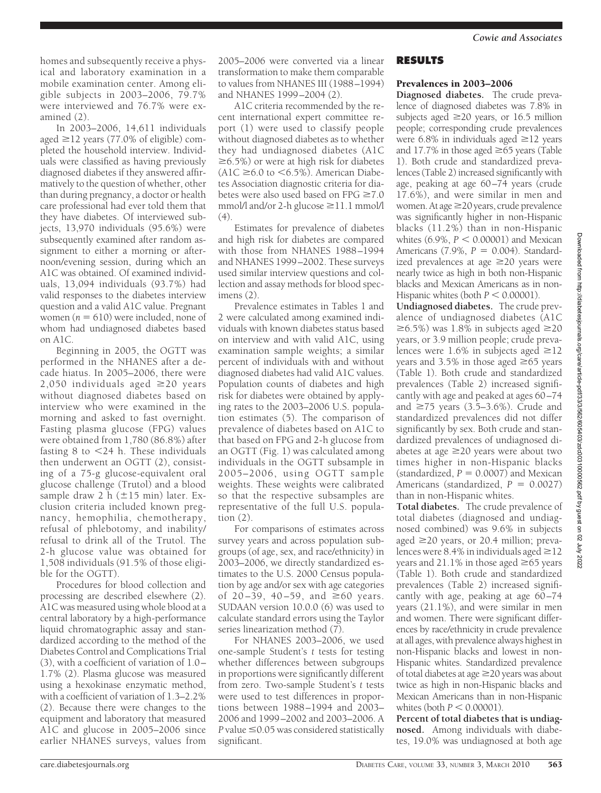homes and subsequently receive a physical and laboratory examination in a mobile examination center. Among eligible subjects in 2003–2006, 79.7% were interviewed and 76.7% were examined (2).

In 2003–2006, 14,611 individuals aged  $\geq$ 12 years (77.0% of eligible) completed the household interview. Individuals were classified as having previously diagnosed diabetes if they answered affirmatively to the question of whether, other than during pregnancy, a doctor or health care professional had ever told them that they have diabetes. Of interviewed subjects, 13,970 individuals (95.6%) were subsequently examined after random assignment to either a morning or afternoon/evening session, during which an A1C was obtained. Of examined individuals, 13,094 individuals (93.7%) had valid responses to the diabetes interview question and a valid A1C value. Pregnant women ( $n = 610$ ) were included, none of whom had undiagnosed diabetes based on A1C.

Beginning in 2005, the OGTT was performed in the NHANES after a decade hiatus. In 2005–2006, there were 2,050 individuals aged  $\geq$ 20 years without diagnosed diabetes based on interview who were examined in the morning and asked to fast overnight. Fasting plasma glucose (FPG) values were obtained from 1,780 (86.8%) after fasting  $8$  to  $\leq$  24 h. These individuals then underwent an OGTT (2), consisting of a 75-g glucose-equivalent oral glucose challenge (Trutol) and a blood sample draw 2 h  $(\pm 15 \text{ min})$  later. Exclusion criteria included known pregnancy, hemophilia, chemotherapy, refusal of phlebotomy, and inability/ refusal to drink all of the Trutol. The 2-h glucose value was obtained for 1,508 individuals (91.5% of those eligible for the OGTT).

Procedures for blood collection and processing are described elsewhere (2). A1C was measured using whole blood at a central laboratory by a high-performance liquid chromatographic assay and standardized according to the method of the Diabetes Control and Complications Trial (3), with a coefficient of variation of 1.0– 1.7% (2). Plasma glucose was measured using a hexokinase enzymatic method, with a coefficient of variation of 1.3–2.2% (2). Because there were changes to the equipment and laboratory that measured A1C and glucose in 2005–2006 since earlier NHANES surveys, values from

2005–2006 were converted via a linear transformation to make them comparable to values from NHANES III (1988–1994) and NHANES 1999–2004 (2).

A1C criteria recommended by the recent international expert committee report (1) were used to classify people without diagnosed diabetes as to whether they had undiagnosed diabetes (A1C  $\geq 6.5\%$ ) or were at high risk for diabetes  $(A1C \ge 6.0$  to  $\le 6.5\%)$ . American Diabetes Association diagnostic criteria for diabetes were also used based on  $FPG \ge 7.0$ mmol/l and/or 2-h glucose  $\geq$ 11.1 mmol/l (4).

Estimates for prevalence of diabetes and high risk for diabetes are compared with those from NHANES 1988–1994 and NHANES 1999–2002. These surveys used similar interview questions and collection and assay methods for blood specimens (2).

Prevalence estimates in Tables 1 and 2 were calculated among examined individuals with known diabetes status based on interview and with valid A1C, using examination sample weights; a similar percent of individuals with and without diagnosed diabetes had valid A1C values. Population counts of diabetes and high risk for diabetes were obtained by applying rates to the 2003–2006 U.S. population estimates (5). The comparison of prevalence of diabetes based on A1C to that based on FPG and 2-h glucose from an OGTT (Fig. 1) was calculated among individuals in the OGTT subsample in 2005–2006, using OGTT sample weights. These weights were calibrated so that the respective subsamples are representative of the full U.S. population (2).

For comparisons of estimates across survey years and across population subgroups (of age, sex, and race/ethnicity) in 2003–2006, we directly standardized estimates to the U.S. 2000 Census population by age and/or sex with age categories of  $20-39$ ,  $40-59$ , and  $\geq 60$  years. SUDAAN version 10.0.0 (6) was used to calculate standard errors using the Taylor series linearization method (7).

For NHANES 2003–2006, we used one-sample Student's *t* tests for testing whether differences between subgroups in proportions were significantly different from zero. Two-sample Student's *t* tests were used to test differences in proportions between 1988–1994 and 2003– 2006 and 1999–2002 and 2003–2006. A  $P$  value  $\leq$  0.05 was considered statistically significant.

## **RESULTS**

## Prevalences in 2003–2006

**Diagnosed diabetes.** The crude prevalence of diagnosed diabetes was 7.8% in subjects aged  $\geq$ 20 years, or 16.5 million people; corresponding crude prevalences were 6.8% in individuals aged  $\geq$ 12 years and 17.7% in those aged  $\geq 65$  years (Table 1). Both crude and standardized prevalences (Table 2) increased significantly with age, peaking at age 60–74 years (crude 17.6%), and were similar in men and women. At age  $\geq$  20 years, crude prevalence was significantly higher in non-Hispanic blacks (11.2%) than in non-Hispanic whites  $(6.9\%, P < 0.00001)$  and Mexican Americans (7.9%, *P* = 0.004). Standardized prevalences at age  $\geq$ 20 years were nearly twice as high in both non-Hispanic blacks and Mexican Americans as in non-Hispanic whites (both  $P < 0.00001$ ).

**Undiagnosed diabetes.** The crude prevalence of undiagnosed diabetes (A1C  $\geq$ 6.5%) was 1.8% in subjects aged  $\geq$ 20 years, or 3.9 million people; crude prevalences were 1.6% in subjects aged  $\geq$ 12 vears and 3.5% in those aged  $\geq 65$  years (Table 1). Both crude and standardized prevalences (Table 2) increased significantly with age and peaked at ages 60–74 and  $\geq$ 75 years (3.5–3.6%). Crude and standardized prevalences did not differ significantly by sex. Both crude and standardized prevalences of undiagnosed diabetes at age  $\geq$  20 years were about two times higher in non-Hispanic blacks  $(\text{standardized}, P = 0.0007)$  and Mexican Americans (standardized,  $P = 0.0027$ ) than in non-Hispanic whites.

**Total diabetes.** The crude prevalence of total diabetes (diagnosed and undiagnosed combined) was 9.6% in subjects aged  $\geq$ 20 years, or 20.4 million; prevalences were 8.4% in individuals aged  $\geq$  12 years and 21.1% in those aged  $\geq 65$  years (Table 1). Both crude and standardized prevalences (Table 2) increased significantly with age, peaking at age 60–74 years (21.1%), and were similar in men and women. There were significant differences by race/ethnicity in crude prevalence at all ages, with prevalence always highest in non-Hispanic blacks and lowest in non-Hispanic whites. Standardized prevalence of total diabetes at age  $\geq$  20 years was about twice as high in non-Hispanic blacks and Mexican Americans than in non-Hispanic whites (both  $P < 0.00001$ ).

**Percent of total diabetes that is undiagnosed.** Among individuals with diabetes, 19.0% was undiagnosed at both age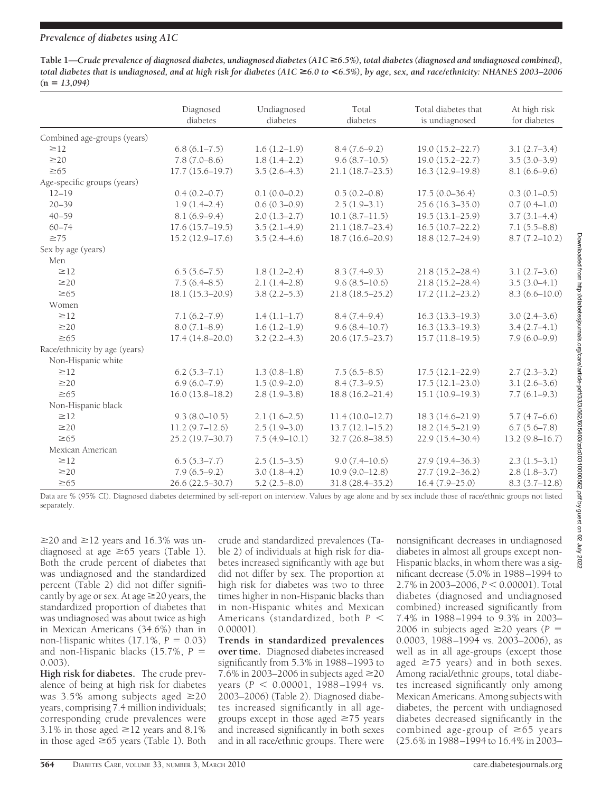## *Prevalence of diabetes using A1C*

Table 1—*Crude prevalence of diagnosed diabetes, undiagnosed diabetes (A1C* ≥6.5%), total diabetes (diagnosed and undiagnosed combined), *total diabetes that is undiagnosed, and at high risk for diabetes (A1C* >*6.0 to* **<***6.5%), by age, sex, and race/ethnicity: NHANES 2003–2006*  $(n = 13.094)$ 

|                               | Diagnosed           | Undiagnosed<br>diabetes | Total<br>diabetes   | Total diabetes that<br>is undiagnosed | At high risk<br>for diabetes |
|-------------------------------|---------------------|-------------------------|---------------------|---------------------------------------|------------------------------|
|                               | diabetes            |                         |                     |                                       |                              |
| Combined age-groups (years)   |                     |                         |                     |                                       |                              |
| $\geq$ 12                     | $6.8(6.1 - 7.5)$    | $1.6(1.2-1.9)$          | $8.4(7.6-9.2)$      | $19.0(15.2 - 22.7)$                   | $3.1(2.7-3.4)$               |
| $\geq$ 20                     | $7.8(7.0 - 8.6)$    | $1.8(1.4-2.2)$          | $9.6(8.7-10.5)$     | $19.0(15.2 - 22.7)$                   | $3.5(3.0-3.9)$               |
| $\geq 65$                     | $17.7(15.6 - 19.7)$ | $3.5(2.6-4.3)$          | $21.1(18.7-23.5)$   | $16.3(12.9-19.8)$                     | $8.1(6.6-9.6)$               |
| Age-specific groups (years)   |                     |                         |                     |                                       |                              |
| $12 - 19$                     | $0.4(0.2 - 0.7)$    | $0.1(0.0-0.2)$          | $0.5(0.2-0.8)$      | $17.5(0.0-36.4)$                      | $0.3(0.1-0.5)$               |
| $20 - 39$                     | $1.9(1.4-2.4)$      | $0.6(0.3-0.9)$          | $2.5(1.9-3.1)$      | 25.6 (16.3-35.0)                      | $0.7(0.4-1.0)$               |
| $40 - 59$                     | $8.1(6.9-9.4)$      | $2.0(1.3-2.7)$          | 10.1(8.7–11.5)      | $19.5(13.1 - 25.9)$                   | $3.7(3.1-4.4)$               |
| $60 - 74$                     | $17.6(15.7-19.5)$   | $3.5(2.1-4.9)$          | $21.1(18.7-23.4)$   | $16.5(10.7-22.2)$                     | $7.1(5.5 - 8.8)$             |
| $\geq 75$                     | $15.2(12.9 - 17.6)$ | $3.5(2.4-4.6)$          | $18.7(16.6 - 20.9)$ | 18.8 (12.7-24.9)                      | $8.7(7.2 - 10.2)$            |
| Sex by age (years)            |                     |                         |                     |                                       |                              |
| Men                           |                     |                         |                     |                                       |                              |
| $\geq$ 12                     | $6.5(5.6 - 7.5)$    | $1.8(1.2 - 2.4)$        | $8.3(7.4-9.3)$      | $21.8(15.2 - 28.4)$                   | $3.1(2.7-3.6)$               |
| $\geq$ 20                     | $7.5(6.4 - 8.5)$    | $2.1(1.4-2.8)$          | $9.6(8.5-10.6)$     | $21.8(15.2 - 28.4)$                   | $3.5(3.0-4.1)$               |
| $\geq 65$                     | 18.1 (15.3-20.9)    | $3.8(2.2 - 5.3)$        | $21.8(18.5 - 25.2)$ | $17.2(11.2 - 23.2)$                   | $8.3(6.6 - 10.0)$            |
| Women                         |                     |                         |                     |                                       |                              |
| $\geq$ 12                     | $7.1(6.2 - 7.9)$    | $1.4(1.1-1.7)$          | $8.4(7.4-9.4)$      | $16.3(13.3 - 19.3)$                   | $3.0(2.4 - 3.6)$             |
| $\geq$ 20                     | $8.0(7.1 - 8.9)$    | $1.6(1.2-1.9)$          | $9.6(8.4 - 10.7)$   | $16.3(13.3 - 19.3)$                   | $3.4(2.7-4.1)$               |
| $\geq 65$                     | $17.4(14.8 - 20.0)$ | $3.2(2.2 - 4.3)$        | $20.6(17.5 - 23.7)$ | $15.7(11.8-19.5)$                     | $7.9(6.0-9.9)$               |
| Race/ethnicity by age (years) |                     |                         |                     |                                       |                              |
| Non-Hispanic white            |                     |                         |                     |                                       |                              |
| $\geq$ 12                     | $6.2(5.3 - 7.1)$    | $1.3(0.8-1.8)$          | $7.5(6.5 - 8.5)$    | $17.5(12.1 - 22.9)$                   | $2.7(2.3-3.2)$               |
| $\geq$ 20                     | $6.9(6.0 - 7.9)$    | $1.5(0.9-2.0)$          | $8.4(7.3-9.5)$      | $17.5(12.1 - 23.0)$                   | $3.1(2.6-3.6)$               |
| $\geq 65$                     | $16.0(13.8 - 18.2)$ | $2.8(1.9-3.8)$          | $18.8(16.2 - 21.4)$ | $15.1(10.9-19.3)$                     | $7.7(6.1-9.3)$               |
| Non-Hispanic black            |                     |                         |                     |                                       |                              |
| $\geq$ 12                     | $9.3(8.0 - 10.5)$   | $2.1(1.6-2.5)$          | 11.4(10.0–12.7)     | 18.3 (14.6-21.9)                      | $5.7(4.7-6.6)$               |
| $\geq$ 20                     | $11.2(9.7-12.6)$    | $2.5(1.9-3.0)$          | $13.7(12.1 - 15.2)$ | $18.2(14.5 - 21.9)$                   | $6.7(5.6 - 7.8)$             |
| $\geq 65$                     | 25.2 (19.7-30.7)    | $7.5(4.9-10.1)$         | 32.7 (26.8-38.5)    | 22.9 (15.4-30.4)                      | $13.2(9.8 - 16.7)$           |
| Mexican American              |                     |                         |                     |                                       |                              |
| $\geq$ 12                     | $6.5(5.3 - 7.7)$    | $2.5(1.5-3.5)$          | $9.0(7.4 - 10.6)$   | 27.9 (19.4-36.3)                      | $2.3(1.5-3.1)$               |
| $\geq$ 20                     | $7.9(6.5-9.2)$      | $3.0(1.8-4.2)$          | $10.9(9.0 - 12.8)$  | 27.7 (19.2-36.2)                      | $2.8(1.8-3.7)$               |
| $\geq 65$                     | 26.6 (22.5-30.7)    | $5.2(2.5 - 8.0)$        | $31.8(28.4 - 35.2)$ | $16.4(7.9-25.0)$                      | $8.3(3.7-12.8)$              |

Data are % (95% CI). Diagnosed diabetes determined by self-report on interview. Values by age alone and by sex include those of race/ethnic groups not listed separately.

 $\geq$ 20 and  $\geq$ 12 years and 16.3% was undiagnosed at age  $\geq 65$  years (Table 1). Both the crude percent of diabetes that was undiagnosed and the standardized percent (Table 2) did not differ significantly by age or sex. At age  $\geq$  20 years, the standardized proportion of diabetes that was undiagnosed was about twice as high in Mexican Americans (34.6%) than in non-Hispanic whites  $(17.1\%, P = 0.03)$ and non-Hispanic blacks  $(15.7\%, P =$ 0.003).

**High risk for diabetes.** The crude prevalence of being at high risk for diabetes was 3.5% among subjects aged  $\geq 20$ years, comprising 7.4 million individuals; corresponding crude prevalences were 3.1% in those aged  $\geq$  12 years and 8.1% in those aged  $\geq 65$  years (Table 1). Both

crude and standardized prevalences (Table 2) of individuals at high risk for diabetes increased significantly with age but did not differ by sex. The proportion at high risk for diabetes was two to three times higher in non-Hispanic blacks than in non-Hispanic whites and Mexican Americans (standardized, both *P* 0.00001).

**Trends in standardized prevalences over time.** Diagnosed diabetes increased significantly from 5.3% in 1988–1993 to 7.6% in 2003–2006 in subjects aged  $\geq$ 20 years ( $P < 0.00001$ , 1988-1994 vs. 2003–2006) (Table 2). Diagnosed diabetes increased significantly in all agegroups except in those aged  $\geq 75$  years and increased significantly in both sexes and in all race/ethnic groups. There were

nonsignificant decreases in undiagnosed diabetes in almost all groups except non-Hispanic blacks, in whom there was a significant decrease (5.0% in 1988–1994 to 2.7% in 2003–2006,  $P < 0.00001$ ). Total diabetes (diagnosed and undiagnosed combined) increased significantly from 7.4% in 1988–1994 to 9.3% in 2003– 2006 in subjects aged  $\geq$ 20 years (*P* = 0.0003, 1988–1994 vs. 2003–2006), as well as in all age-groups (except those aged  $\geq$ 75 years) and in both sexes. Among racial/ethnic groups, total diabetes increased significantly only among Mexican Americans. Among subjects with diabetes, the percent with undiagnosed diabetes decreased significantly in the combined age-group of  $\geq 65$  years (25.6% in 1988–1994 to 16.4% in 2003–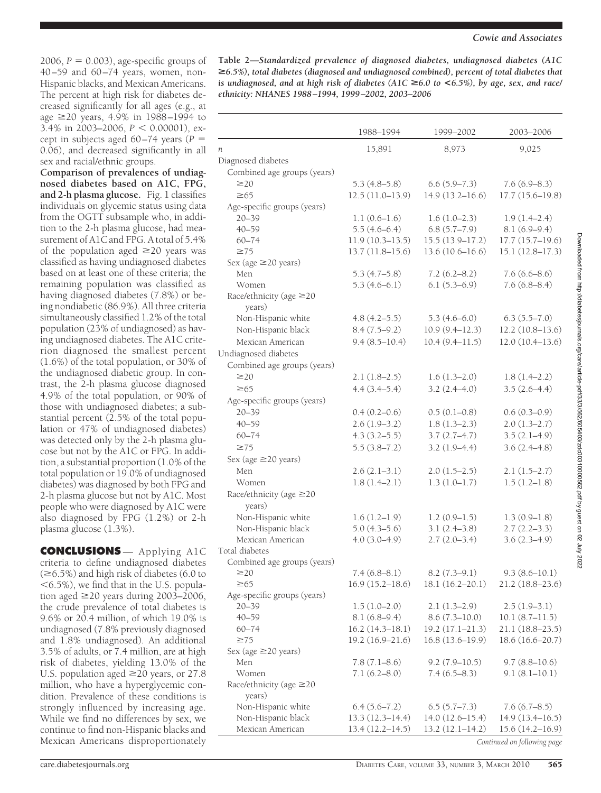$2006$ ,  $P = 0.003$ ), age-specific groups of 40–59 and 60–74 years, women, non-Hispanic blacks, and Mexican Americans. The percent at high risk for diabetes decreased significantly for all ages (e.g., at age 20 years, 4.9% in 1988–1994 to  $3.4\%$  in 2003–2006,  $P < 0.00001$ ), except in subjects aged  $60-74$  years ( $P =$ 0.06), and decreased significantly in all sex and racial/ethnic groups.

**Comparison of prevalences of undiagnosed diabetes based on A1C, FPG, and 2-h plasma glucose.** Fig. 1 classifies individuals on glycemic status using data from the OGTT subsample who, in addition to the 2-h plasma glucose, had measurement of A1C and FPG. A total of 5.4% of the population aged  $\geq 20$  years was classified as having undiagnosed diabetes based on at least one of these criteria; the remaining population was classified as having diagnosed diabetes (7.8%) or being nondiabetic (86.9%). All three criteria simultaneously classified 1.2% of the total population (23% of undiagnosed) as having undiagnosed diabetes. The A1C criterion diagnosed the smallest percent (1.6%) of the total population, or 30% of the undiagnosed diabetic group. In contrast, the 2-h plasma glucose diagnosed 4.9% of the total population, or 90% of those with undiagnosed diabetes; a substantial percent (2.5% of the total population or 47% of undiagnosed diabetes) was detected only by the 2-h plasma glucose but not by the A1C or FPG. In addition, a substantial proportion (1.0% of the total population or 19.0% of undiagnosed diabetes) was diagnosed by both FPG and 2-h plasma glucose but not by A1C. Most people who were diagnosed by A1C were also diagnosed by FPG (1.2%) or 2-h plasma glucose (1.3%).

**CONCLUSIONS** — Applying A1C criteria to define undiagnosed diabetes  $(\geq 6.5\%)$  and high risk of diabetes (6.0 to  $<$  6.5%), we find that in the U.S. population aged  $\geq$ 20 years during 2003–2006, the crude prevalence of total diabetes is 9.6% or 20.4 million, of which 19.0% is undiagnosed (7.8% previously diagnosed and 1.8% undiagnosed). An additional 3.5% of adults, or 7.4 million, are at high risk of diabetes, yielding 13.0% of the U.S. population aged  $\geq$  20 years, or 27.8 million, who have a hyperglycemic condition. Prevalence of these conditions is strongly influenced by increasing age. While we find no differences by sex, we continue to find non-Hispanic blacks and Mexican Americans disproportionately

**Table 2—***Standardized prevalence of diagnosed diabetes, undiagnosed diabetes (A1C* >*6.5%), total diabetes (diagnosed and undiagnosed combined), percent of total diabetes that is undiagnosed, and at high risk of diabetes (A1C* >*6.0 to* **<***6.5%), by age, sex, and race/ ethnicity: NHANES 1988 –1994, 1999 –2002, 2003–2006*

|                                         | 1988-1994           | 1999-2002           | 2003-2006                   |
|-----------------------------------------|---------------------|---------------------|-----------------------------|
| n                                       | 15,891              | 8,973               | 9,025                       |
| Diagnosed diabetes                      |                     |                     |                             |
| Combined age groups (years)             |                     |                     |                             |
| $\geq$ 20                               | $5.3(4.8-5.8)$      | $6.6(5.9 - 7.3)$    | $7.6(6.9 - 8.3)$            |
| $\geq 65$                               | $12.5(11.0-13.9)$   | $14.9(13.2 - 16.6)$ | $17.7(15.6 - 19.8)$         |
| Age-specific groups (years)             |                     |                     |                             |
| $20 - 39$                               | $1.1(0.6-1.6)$      | $1.6(1.0-2.3)$      | $1.9(1.4 - 2.4)$            |
| $40 - 59$                               | $5.5(4.6-6.4)$      | 6.8(5.7–7.9)        | $8.1(6.9-9.4)$              |
| $60 - 74$                               | $11.9(10.3-13.5)$   | $15.5(13.9-17.2)$   | 17.7(15.7–19.6)             |
| $\geq 75$                               | $13.7(11.8-15.6)$   | $13.6(10.6 - 16.6)$ | 15.1 (12.8-17.3)            |
| Sex (age ≥20 years)                     |                     |                     |                             |
| Men                                     | $5.3(4.7-5.8)$      | $7.2(6.2 - 8.2)$    | $7.6(6.6-8.6)$              |
| Women                                   | $5.3(4.6-6.1)$      | $6.1(5.3-6.9)$      | 7.6(6.8–8.4)                |
| Race/ethnicity (age ≥20<br>years)       |                     |                     |                             |
| Non-Hispanic white                      | $4.8(4.2 - 5.5)$    | $5.3(4.6-6.0)$      | $6.3(5.5 - 7.0)$            |
| Non-Hispanic black                      | $8.4(7.5-9.2)$      | $10.9(9.4 - 12.3)$  | $12.2(10.8-13.6)$           |
| Mexican American                        | $9.4(8.5 - 10.4)$   | $10.4(9.4 - 11.5)$  | $12.0(10.4-13.6)$           |
| Undiagnosed diabetes                    |                     |                     |                             |
| Combined age groups (years)             |                     |                     |                             |
| $\geq$ 20                               | $2.1(1.8-2.5)$      | $1.6(1.3-2.0)$      | $1.8(1.4-2.2)$              |
| $\geq 65$                               | $4.4(3.4 - 5.4)$    | $3.2(2.4 - 4.0)$    | $3.5(2.6-4.4)$              |
| Age-specific groups (years)             |                     |                     |                             |
| $20 - 39$                               | $0.4(0.2-0.6)$      | $0.5(0.1-0.8)$      | $0.6(0.3-0.9)$              |
| $40 - 59$                               | $2.6(1.9-3.2)$      | $1.8(1.3 - 2.3)$    | $2.0(1.3 - 2.7)$            |
| $60 - 74$                               | $4.3(3.2 - 5.5)$    | $3.7(2.7-4.7)$      | $3.5(2.1-4.9)$              |
| $\geq 75$                               | $5.5(3.8 - 7.2)$    | $3.2(1.9-4.4)$      | $3.6(2.4 - 4.8)$            |
| Sex (age ≥20 years)                     |                     |                     |                             |
| Men                                     | $2.6(2.1-3.1)$      | $2.0(1.5-2.5)$      | $2.1(1.5-2.7)$              |
| Women                                   | $1.8(1.4-2.1)$      | $1.3(1.0-1.7)$      | $1.5(1.2-1.8)$              |
| Race/ethnicity (age ≥20<br>years)       |                     |                     |                             |
| Non-Hispanic white                      | $1.6(1.2-1.9)$      | $1.2(0.9-1.5)$      | $1.3(0.9-1.8)$              |
| Non-Hispanic black                      | $5.0(4.3-5.6)$      | $3.1(2.4-3.8)$      | $2.7(2.2 - 3.3)$            |
| Mexican American                        | $4.0(3.0-4.9)$      | $2.7(2.0-3.4)$      | $3.6(2.3-4.9)$              |
| Total diabetes                          |                     |                     |                             |
| Combined age groups (years)             |                     |                     |                             |
| $\geq$ 20                               | 7.4 (6.8–8.1)       | $8.2(7.3-9.1)$      | $9.3(8.6-10.1)$             |
| $\geq 65$                               | $16.9(15.2 - 18.6)$ | 18.1 (16.2-20.1)    | $21.2(18.8-23.6)$           |
| Age-specific groups (years)             |                     |                     |                             |
| $20 - 39$                               | $1.5(1.0-2.0)$      | $2.1(1.3-2.9)$      | $2.5(1.9-3.1)$              |
| $40 - 59$                               | $8.1(6.8-9.4)$      | $8.6(7.3 - 10.0)$   | 10.1(8.7–11.5)              |
| $60 - 74$                               | $16.2(14.3-18.1)$   | $19.2(17.1 - 21.3)$ | 21.1 (18.8–23.5)            |
| $\geq 75$                               | 19.2 (16.9-21.6)    | $16.8(13.6 - 19.9)$ | 18.6 (16.6–20.7)            |
| Sex (age ≥20 years)<br>Men              | $7.8(7.1 - 8.6)$    | $9.2(7.9-10.5)$     | $9.7(8.8 - 10.6)$           |
| Women                                   | $7.1(6.2 - 8.0)$    | $7.4(6.5 - 8.3)$    | $9.1(8.1-10.1)$             |
| Race/ethnicity (age $\geq$ 20<br>years) |                     |                     |                             |
| Non-Hispanic white                      | $6.4(5.6 - 7.2)$    | $6.5(5.7-7.3)$      | 7.6(6.7–8.5)                |
| Non-Hispanic black                      | $13.3(12.3 - 14.4)$ | $14.0(12.6 - 15.4)$ | 14.9(13.4–16.5)             |
| Mexican American                        | $13.4(12.2 - 14.5)$ | $13.2(12.1 - 14.2)$ | $15.6(14.2 - 16.9)$         |
|                                         |                     |                     | Continued on following nage |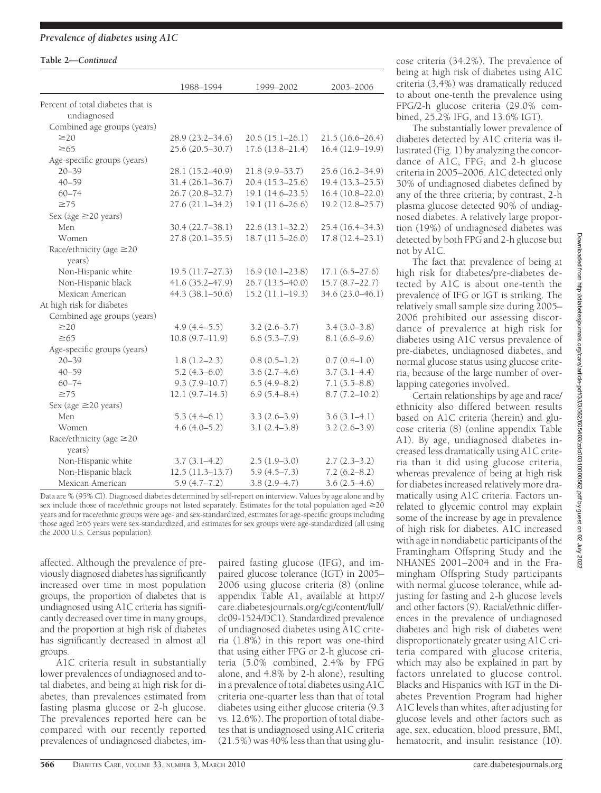## *Prevalence of diabetes using A1C*

#### **Table 2—***Continued*

|                                   | 1988-1994           | 1999-2002           | 2003-2006           |
|-----------------------------------|---------------------|---------------------|---------------------|
| Percent of total diabetes that is |                     |                     |                     |
| undiagnosed                       |                     |                     |                     |
| Combined age groups (years)       |                     |                     |                     |
| $\geq$ 20                         | $28.9(23.2 - 34.6)$ | $20.6(15.1-26.1)$   | $21.5(16.6 - 26.4)$ |
| $\geq 65$                         | 25.6 (20.5-30.7)    | $17.6(13.8 - 21.4)$ | $16.4(12.9-19.9)$   |
| Age-specific groups (years)       |                     |                     |                     |
| $20 - 39$                         | 28.1 (15.2-40.9)    | $21.8(9.9 - 33.7)$  | 25.6 (16.2-34.9)    |
| $40 - 59$                         | $31.4(26.1 - 36.7)$ | $20.4(15.3 - 25.6)$ | $19.4(13.3 - 25.5)$ |
| $60 - 74$                         | $26.7(20.8 - 32.7)$ | $19.1(14.6-23.5)$   | $16.4(10.8-22.0)$   |
| $\geq 75$                         | $27.6(21.1 - 34.2)$ | 19.1 (11.6-26.6)    | 19.2 (12.8-25.7)    |
| Sex (age ≥20 years)               |                     |                     |                     |
| Men                               | $30.4(22.7-38.1)$   | $22.6(13.1 - 32.2)$ | 25.4 (16.4-34.3)    |
| Women                             | $27.8(20.1 - 35.5)$ | $18.7(11.5-26.0)$   | $17.8(12.4 - 23.1)$ |
| Race/ethnicity (age $\geq$ 20     |                     |                     |                     |
| years)                            |                     |                     |                     |
| Non-Hispanic white                | $19.5(11.7-27.3)$   | 16.9(10.1–23.8)     | $17.1(6.5-27.6)$    |
| Non-Hispanic black                | 41.6 (35.2-47.9)    | 26.7 (13.5-40.0)    | $15.7(8.7-22.7)$    |
| Mexican American                  | $44.3(38.1 - 50.6)$ | $15.2(11.1-19.3)$   | 34.6 (23.0-46.1)    |
| At high risk for diabetes         |                     |                     |                     |
| Combined age groups (years)       |                     |                     |                     |
| $\geq$ 20                         | $4.9(4.4-5.5)$      | $3.2(2.6-3.7)$      | $3.4(3.0-3.8)$      |
| $\geq 65$                         | 10.8(9.7–11.9)      | $6.6(5.3 - 7.9)$    | $8.1(6.6-9.6)$      |
| Age-specific groups (years)       |                     |                     |                     |
| $20 - 39$                         | $1.8(1.2-2.3)$      | $0.8(0.5-1.2)$      | $0.7(0.4-1.0)$      |
| $40 - 59$                         | $5.2(4.3-6.0)$      | $3.6(2.7-4.6)$      | $3.7(3.1-4.4)$      |
| $60 - 74$                         | $9.3(7.9 - 10.7)$   | $6.5(4.9 - 8.2)$    | $7.1(5.5 - 8.8)$    |
| $\geq 75$                         | $12.1(9.7-14.5)$    | $6.9(5.4 - 8.4)$    | $8.7(7.2 - 10.2)$   |
| Sex (age $\geq$ 20 years)         |                     |                     |                     |
| Men                               | $5.3(4.4-6.1)$      | $3.3(2.6-3.9)$      | $3.6(3.1-4.1)$      |
| Women                             | $4.6(4.0-5.2)$      | $3.1(2.4-3.8)$      | $3.2(2.6-3.9)$      |
| Race/ethnicity (age $\geq$ 20     |                     |                     |                     |
| years)                            |                     |                     |                     |
| Non-Hispanic white                | $3.7(3.1-4.2)$      | $2.5(1.9-3.0)$      | $2.7(2.3-3.2)$      |
| Non-Hispanic black                | $12.5(11.3-13.7)$   | $5.9(4.5 - 7.3)$    | $7.2(6.2 - 8.2)$    |
| Mexican American                  | $5.9(4.7-7.2)$      | $3.8(2.9 - 4.7)$    | $3.6(2.5-4.6)$      |

Data are % (95% CI). Diagnosed diabetes determined by self-report on interview. Values by age alone and by sex include those of race/ethnic groups not listed separately. Estimates for the total population aged  $\geq$ 20 years and for race/ethnic groups were age- and sex-standardized, estimates for age-specific groups including those aged 65 years were sex-standardized, and estimates for sex groups were age-standardized (all using the 2000 U.S. Census population).

affected. Although the prevalence of previously diagnosed diabetes has significantly increased over time in most population groups, the proportion of diabetes that is undiagnosed using A1C criteria has significantly decreased over time in many groups, and the proportion at high risk of diabetes has significantly decreased in almost all groups.

A1C criteria result in substantially lower prevalences of undiagnosed and total diabetes, and being at high risk for diabetes, than prevalences estimated from fasting plasma glucose or 2-h glucose. The prevalences reported here can be compared with our recently reported prevalences of undiagnosed diabetes, im-

paired fasting glucose (IFG), and impaired glucose tolerance (IGT) in 2005– 2006 using glucose criteria (8) (online appendix Table A1, available at http:// care.diabetesjournals.org/cgi/content/full/ dc09-1524/DC1). Standardized prevalence of undiagnosed diabetes using A1C criteria (1.8%) in this report was one-third that using either FPG or 2-h glucose criteria (5.0% combined, 2.4% by FPG alone, and 4.8% by 2-h alone), resulting in a prevalence of total diabetes using A1C criteria one-quarter less than that of total diabetes using either glucose criteria (9.3 vs. 12.6%). The proportion of total diabetes that is undiagnosed using A1C criteria (21.5%) was 40% less than that using glu-

cose criteria (34.2%). The prevalence of being at high risk of diabetes using A1C criteria (3.4%) was dramatically reduced to about one-tenth the prevalence using FPG/2-h glucose criteria (29.0% combined, 25.2% IFG, and 13.6% IGT).

The substantially lower prevalence of diabetes detected by A1C criteria was illustrated (Fig. 1) by analyzing the concordance of A1C, FPG, and 2-h glucose criteria in 2005–2006. A1C detected only 30% of undiagnosed diabetes defined by any of the three criteria; by contrast, 2-h plasma glucose detected 90% of undiagnosed diabetes. A relatively large proportion (19%) of undiagnosed diabetes was detected by both FPG and 2-h glucose but not by A1C.

The fact that prevalence of being at high risk for diabetes/pre-diabetes detected by A1C is about one-tenth the prevalence of IFG or IGT is striking. The relatively small sample size during 2005– 2006 prohibited our assessing discordance of prevalence at high risk for diabetes using A1C versus prevalence of pre-diabetes, undiagnosed diabetes, and normal glucose status using glucose criteria, because of the large number of overlapping categories involved.

Certain relationships by age and race/ ethnicity also differed between results based on A1C criteria (herein) and glucose criteria (8) (online appendix Table A1). By age, undiagnosed diabetes increased less dramatically using A1C criteria than it did using glucose criteria, whereas prevalence of being at high risk for diabetes increased relatively more dramatically using A1C criteria. Factors unrelated to glycemic control may explain some of the increase by age in prevalence of high risk for diabetes. A1C increased with age in nondiabetic participants of the Framingham Offspring Study and the NHANES 2001–2004 and in the Framingham Offspring Study participants with normal glucose tolerance, while adjusting for fasting and 2-h glucose levels and other factors (9). Racial/ethnic differences in the prevalence of undiagnosed diabetes and high risk of diabetes were disproportionately greater using A1C criteria compared with glucose criteria, which may also be explained in part by factors unrelated to glucose control. Blacks and Hispanics with IGT in the Diabetes Prevention Program had higher A1C levels than whites, after adjusting for glucose levels and other factors such as age, sex, education, blood pressure, BMI, hematocrit, and insulin resistance (10).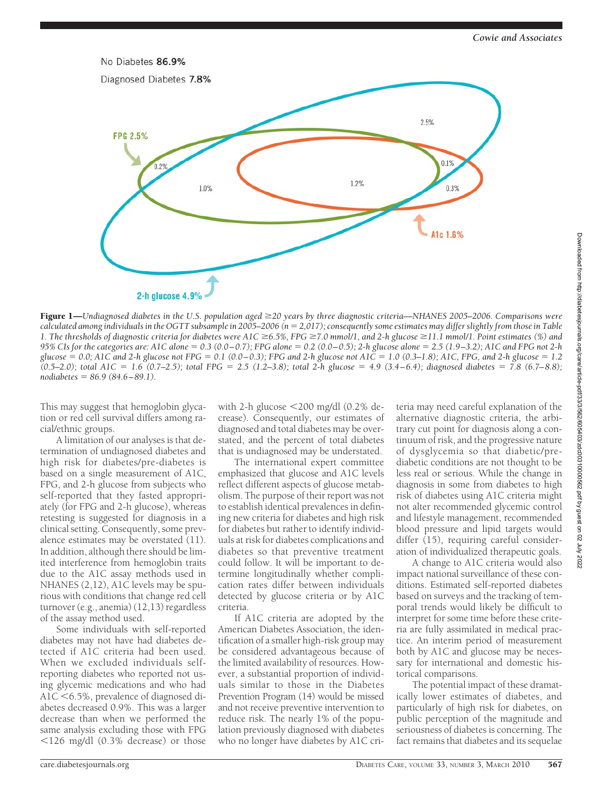

Figure 1—*Undiagnosed diabetes in the U.S. population aged 20 years by three diagnostic criteria—NHANES 2005–2006. Comparisons were* calculated among individuals in the OGTT subsample in 2005–2006 (n = 2,017); consequently some estimates may differ slightly from those in Table *1. The thresholds of diagnostic criteria for diabetes were A1C 6.5%, FPG 7.0 mmol/1, and 2-h glucose 11.1 mmol/1. Point estimates (%) and 95% CIs for the categories are: A1C alone* - *0.3 (0.0 – 0.7); FPG alone* - *0.2 (0.0 – 0.5); 2-h glucose alone* - *2.5 (1.9 –3.2); A1C and FPG not 2-h glucose* - *0.0; A1C and 2-h glucose not FPG* - *0.1 (0.0 – 0.3); FPG and 2-h glucose not A1C* - *1.0 (0.3–1.8); A1C, FPG, and 2-h glucose* - *1.2* (0.5–2.0); total A1C = 1.6 (0.7–2.5); total FPG = 2.5 (1.2–3.8); total 2-h glucose = 4.9 (3.4–6.4); diagnosed diabetes = 7.8 (6.7–8.8); *nodiabetes* - *86.9 (84.6 – 89.1).*

This may suggest that hemoglobin glycation or red cell survival differs among racial/ethnic groups.

A limitation of our analyses is that determination of undiagnosed diabetes and high risk for diabetes/pre-diabetes is based on a single measurement of A1C, FPG, and 2-h glucose from subjects who self-reported that they fasted appropriately (for FPG and 2-h glucose), whereas retesting is suggested for diagnosis in a clinical setting. Consequently, some prevalence estimates may be overstated (11). In addition, although there should be limited interference from hemoglobin traits due to the A1C assay methods used in NHANES (2,12), A1C levels may be spurious with conditions that change red cell turnover (e.g., anemia) (12,13) regardless of the assay method used.

Some individuals with self-reported diabetes may not have had diabetes detected if A1C criteria had been used. When we excluded individuals selfreporting diabetes who reported not using glycemic medications and who had A1C <6.5%, prevalence of diagnosed diabetes decreased 0.9%. This was a larger decrease than when we performed the same analysis excluding those with FPG  $126$  mg/dl  $(0.3\%$  decrease) or those

with 2-h glucose 200 mg/dl (0.2% decrease). Consequently, our estimates of diagnosed and total diabetes may be overstated, and the percent of total diabetes that is undiagnosed may be understated.

The international expert committee emphasized that glucose and A1C levels reflect different aspects of glucose metabolism. The purpose of their report was not to establish identical prevalences in defining new criteria for diabetes and high risk for diabetes but rather to identify individuals at risk for diabetes complications and diabetes so that preventive treatment could follow. It will be important to determine longitudinally whether complication rates differ between individuals detected by glucose criteria or by A1C criteria.

If A1C criteria are adopted by the American Diabetes Association, the identification of a smaller high-risk group may be considered advantageous because of the limited availability of resources. However, a substantial proportion of individuals similar to those in the Diabetes Prevention Program (14) would be missed and not receive preventive intervention to reduce risk. The nearly 1% of the population previously diagnosed with diabetes who no longer have diabetes by A1C cri-

teria may need careful explanation of the alternative diagnostic criteria, the arbitrary cut point for diagnosis along a continuum of risk, and the progressive nature of dysglycemia so that diabetic/prediabetic conditions are not thought to be less real or serious. While the change in diagnosis in some from diabetes to high risk of diabetes using A1C criteria might not alter recommended glycemic control and lifestyle management, recommended blood pressure and lipid targets would differ  $(15)$ , requiring careful consideration of individualized therapeutic goals.

A change to A1C criteria would also impact national surveillance of these conditions. Estimated self-reported diabetes based on surveys and the tracking of temporal trends would likely be difficult to interpret for some time before these criteria are fully assimilated in medical practice. An interim period of measurement both by A1C and glucose may be necessary for international and domestic historical comparisons.

The potential impact of these dramatically lower estimates of diabetes, and particularly of high risk for diabetes, on public perception of the magnitude and seriousness of diabetes is concerning. The fact remains that diabetes and its sequelae